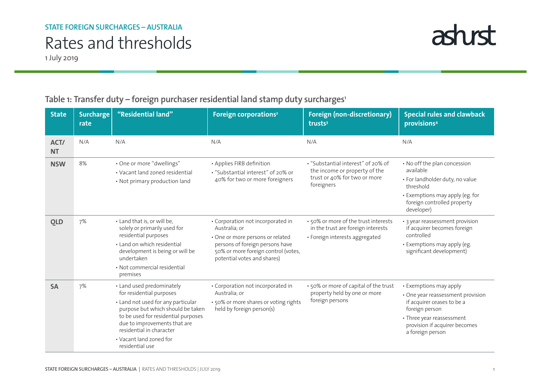## Rates and thresholds

1 July 2019

## Table 1: Transfer duty - foreign purchaser residential land stamp duty surcharges<sup>1</sup>

| <b>State</b>      | <b>Surcharge</b><br>rate | "Residential land"                                                                                                                                                                                                                                                                | Foreign corporations <sup>2</sup>                                                                                                                                                               | <b>Foreign (non-discretionary)</b><br>trusts <sup>3</sup>                                                         | <b>Special rules and clawback</b><br>provisions <sup>4</sup>                                                                                                                                  |
|-------------------|--------------------------|-----------------------------------------------------------------------------------------------------------------------------------------------------------------------------------------------------------------------------------------------------------------------------------|-------------------------------------------------------------------------------------------------------------------------------------------------------------------------------------------------|-------------------------------------------------------------------------------------------------------------------|-----------------------------------------------------------------------------------------------------------------------------------------------------------------------------------------------|
| ACT/<br><b>NT</b> | N/A                      | N/A                                                                                                                                                                                                                                                                               | N/A                                                                                                                                                                                             | N/A                                                                                                               | N/A                                                                                                                                                                                           |
| <b>NSW</b>        | 8%                       | • One or more "dwellings"<br>• Vacant land zoned residential<br>• Not primary production land                                                                                                                                                                                     | • Applies FIRB definition<br>• "Substantial interest" of 20% or<br>40% for two or more foreigners                                                                                               | • "Substantial interest" of 20% of<br>the income or property of the<br>trust or 40% for two or more<br>foreigners | • No off the plan concession<br>available<br>• For landholder duty, no value<br>threshold<br>• Exemptions may apply (eg. for<br>foreign controlled property<br>developer)                     |
| <b>QLD</b>        | 7%                       | • Land that is, or will be,<br>solely or primarily used for<br>residential purposes<br>• Land on which residential<br>development is being or will be<br>undertaken<br>• Not commercial residential<br>premises                                                                   | • Corporation not incorporated in<br>Australia; or<br>• One or more persons or related<br>persons of foreign persons have<br>50% or more foreign control (votes,<br>potential votes and shares) | • 50% or more of the trust interests<br>in the trust are foreign interests<br>• Foreign interests aggregated      | • 3 year reassessment provision<br>if acquirer becomes foreign<br>controlled<br>• Exemptions may apply (eg.<br>significant development)                                                       |
| <b>SA</b>         | 7%                       | • Land used predominately<br>for residential purposes<br>• Land not used for any particular<br>purpose but which should be taken<br>to be used for residential purposes<br>due to improvements that are<br>residential in character<br>• Vacant land zoned for<br>residential use | • Corporation not incorporated in<br>Australia: or<br>• 50% or more shares or voting rights<br>held by foreign person(s)                                                                        | • 50% or more of capital of the trust<br>property held by one or more<br>foreign persons                          | • Exemptions may apply<br>• One year reassessment provision<br>if acquirer ceases to be a<br>foreign person<br>• Three year reassessment<br>provision if acquirer becomes<br>a foreign person |

astust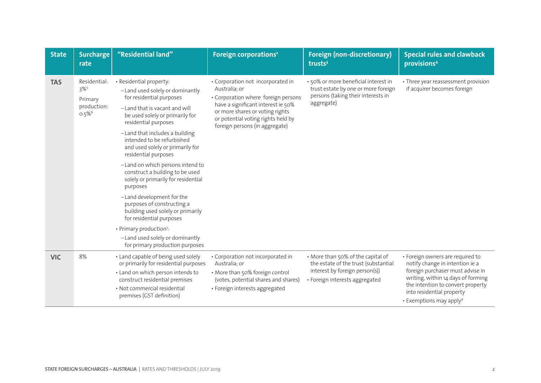| <b>State</b> | <b>Surcharge</b><br>rate                                                             | "Residential land"                                                                                                                                                                                                                                                                                                                                                                                                                                                                                                                                                                                                                                                                | Foreign corporations <sup>2</sup>                                                                                                                                                                                                          | <b>Foreign (non-discretionary)</b><br>trusts <sup>3</sup>                                                                                     | <b>Special rules and clawback</b><br>provisions <sup>4</sup>                                                                                                                                                                                           |
|--------------|--------------------------------------------------------------------------------------|-----------------------------------------------------------------------------------------------------------------------------------------------------------------------------------------------------------------------------------------------------------------------------------------------------------------------------------------------------------------------------------------------------------------------------------------------------------------------------------------------------------------------------------------------------------------------------------------------------------------------------------------------------------------------------------|--------------------------------------------------------------------------------------------------------------------------------------------------------------------------------------------------------------------------------------------|-----------------------------------------------------------------------------------------------------------------------------------------------|--------------------------------------------------------------------------------------------------------------------------------------------------------------------------------------------------------------------------------------------------------|
| <b>TAS</b>   | Residential:<br>$3\%$ <sup>5</sup><br>Primary<br>production:<br>$0.5\%$ <sup>6</sup> | • Residential property:<br>-Land used solely or dominantly<br>for residential purposes<br>-Land that is vacant and will<br>be used solely or primarily for<br>residential purposes<br>-Land that includes a building<br>intended to be refurbished<br>and used solely or primarily for<br>residential purposes<br>-Land on which persons intend to<br>construct a building to be used<br>solely or primarily for residential<br>purposes<br>-Land development for the<br>purposes of constructing a<br>building used solely or primarily<br>for residential purposes<br>• Primary production <sup>7</sup> :<br>-Land used solely or dominantly<br>for primary production purposes | • Corporation not incorporated in<br>Australia; or<br>• Corporation where foreign persons<br>have a significant interest ie 50%<br>or more shares or voting rights<br>or potential voting rights held by<br>foreign persons (in aggregate) | · 50% or more beneficial interest in<br>trust estate by one or more foreign<br>persons (taking their interests in<br>aggregate)               | • Three year reassessment provision<br>if acquirer becomes foreign                                                                                                                                                                                     |
| <b>VIC</b>   | 8%                                                                                   | • Land capable of being used solely<br>or primarily for residential purposes<br>• Land on which person intends to<br>construct residential premises<br>· Not commercial residential<br>premises (GST definition)                                                                                                                                                                                                                                                                                                                                                                                                                                                                  | • Corporation not incorporated in<br>Australia; or<br>• More than 50% foreign control<br>(votes, potential shares and shares)<br>• Foreign interests aggregated                                                                            | • More than 50% of the capital of<br>the estate of the trust (substantial<br>interest by foreign person(s))<br>· Foreign interests aggregated | • Foreign owners are required to<br>notify change in intention ie a<br>foreign purchaser must advise in<br>writing, within 14 days of forming<br>the intention to convert property<br>into residential property<br>• Exemptions may apply <sup>8</sup> |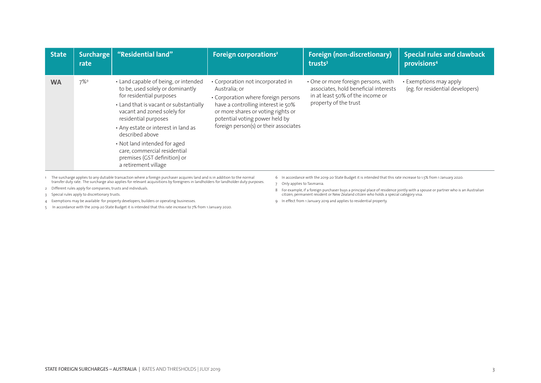| <b>State</b> | <b>Surcharge</b><br>rate | "Residential land"                                                                                                                                                                                                                                                                                                                                                                      | Foreign corporations <sup>2</sup>                                                                                                                                                                                                                | <b>Foreign (non-discretionary)</b><br>trusts $3$                                                                                          | <b>Special rules and clawback</b><br>provisions <sup>4</sup> |
|--------------|--------------------------|-----------------------------------------------------------------------------------------------------------------------------------------------------------------------------------------------------------------------------------------------------------------------------------------------------------------------------------------------------------------------------------------|--------------------------------------------------------------------------------------------------------------------------------------------------------------------------------------------------------------------------------------------------|-------------------------------------------------------------------------------------------------------------------------------------------|--------------------------------------------------------------|
| <b>WA</b>    | $7\%$ <sup>9</sup>       | • Land capable of being, or intended<br>to be, used solely or dominantly<br>for residential purposes<br>• Land that is vacant or substantially<br>vacant and zoned solely for<br>residential purposes<br>• Any estate or interest in land as<br>described above<br>• Not land intended for aged<br>care, commercial residential<br>premises (GST definition) or<br>a retirement village | • Corporation not incorporated in<br>Australia; or<br>• Corporation where foreign persons<br>have a controlling interest ie 50%<br>or more shares or voting rights or<br>potential voting power held by<br>foreign person(s) or their associates | • One or more foreign persons, with<br>associates, hold beneficial interests<br>in at least 50% of the income or<br>property of the trust | • Exemptions may apply<br>(eg. for residential developers)   |

1 The surcharge applies to any dutiable transaction where a foreign purchaser acquires land and is in addition to the normal transfer duty rate. The surcharge also applies for relevant acquisitions by foreigners in landholders for landholder duty purposes.

- 2 Different rules apply for companies, trusts and individuals.
- 3 Special rules apply to discretionary trusts.
- 4 Exemptions may be available for property developers, builders or operating businesses.
- 5 In accordance with the 2019-20 State Budget it is intended that this rate increase to 7% from 1 January 2020.
- 6 In accordance with the 2019-20 State Budget it is intended that this rate increase to 1.5% from 1 January 2020.
- 7 Only applies to Tasmania.
- 8 For example, if a foreign purchaser buys a principal place of residence jointly with a spouse or partner who is an Australian citizen, permanent resident or New Zealand citizen who holds a special category visa.
- 9 In effect from 1 January 2019 and applies to residential property.